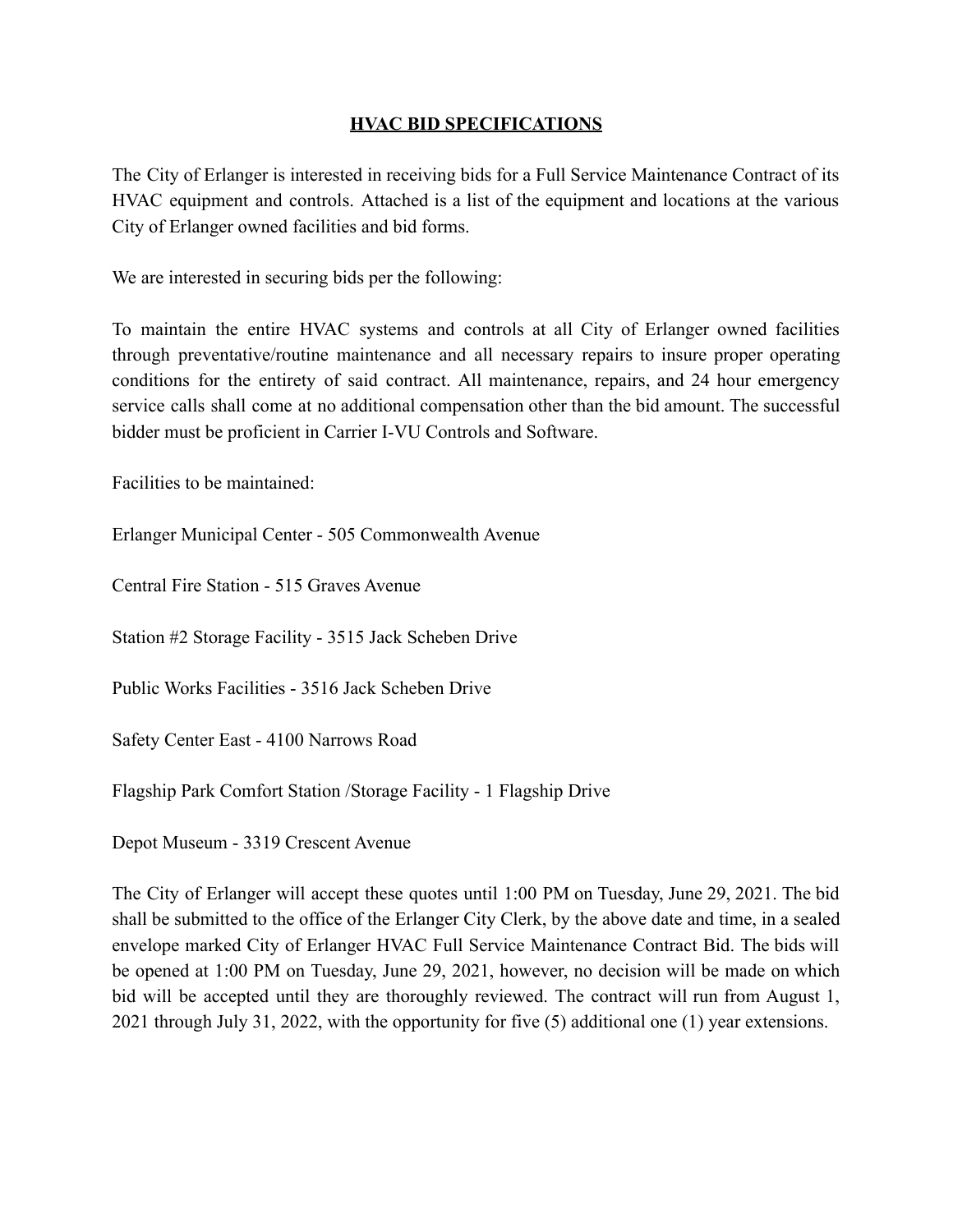## **HVAC BID SPECIFICATIONS**

The City of Erlanger is interested in receiving bids for a Full Service Maintenance Contract of its HVAC equipment and controls. Attached is a list of the equipment and locations at the various City of Erlanger owned facilities and bid forms.

We are interested in securing bids per the following:

To maintain the entire HVAC systems and controls at all City of Erlanger owned facilities through preventative/routine maintenance and all necessary repairs to insure proper operating conditions for the entirety of said contract. All maintenance, repairs, and 24 hour emergency service calls shall come at no additional compensation other than the bid amount. The successful bidder must be proficient in Carrier I-VU Controls and Software.

Facilities to be maintained:

Erlanger Municipal Center - 505 Commonwealth Avenue

Central Fire Station - 515 Graves Avenue

Station #2 Storage Facility - 3515 Jack Scheben Drive

Public Works Facilities - 3516 Jack Scheben Drive

Safety Center East - 4100 Narrows Road

Flagship Park Comfort Station /Storage Facility - 1 Flagship Drive

Depot Museum - 3319 Crescent Avenue

The City of Erlanger will accept these quotes until 1:00 PM on Tuesday, June 29, 2021. The bid shall be submitted to the office of the Erlanger City Clerk, by the above date and time, in a sealed envelope marked City of Erlanger HVAC Full Service Maintenance Contract Bid. The bids will be opened at 1:00 PM on Tuesday, June 29, 2021, however, no decision will be made on which bid will be accepted until they are thoroughly reviewed. The contract will run from August 1, 2021 through July 31, 2022, with the opportunity for five (5) additional one (1) year extensions.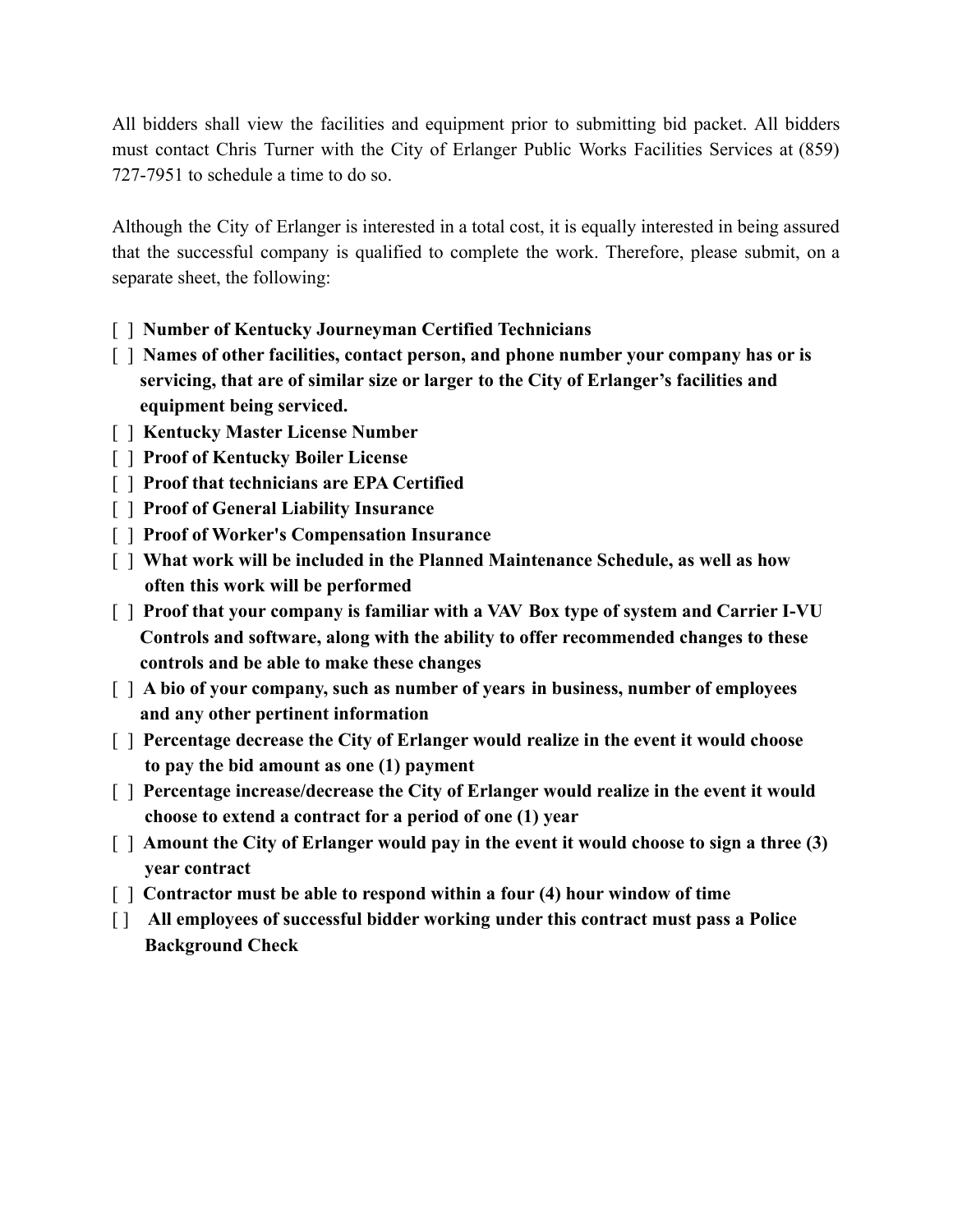All bidders shall view the facilities and equipment prior to submitting bid packet. All bidders must contact Chris Turner with the City of Erlanger Public Works Facilities Services at (859) 727-7951 to schedule a time to do so.

Although the City of Erlanger is interested in a total cost, it is equally interested in being assured that the successful company is qualified to complete the work. Therefore, please submit, on a separate sheet, the following:

- [ ] **Number of Kentucky Journeyman Certified Technicians**
- [ ] **Names of other facilities, contact person, and phone number your company has or is servicing, that are of similar size or larger to the City of Erlanger's facilities and equipment being serviced.**
- [ ] **Kentucky Master License Number**
- [ ] **Proof of Kentucky Boiler License**
- [ ] **Proof that technicians are EPA Certified**
- [ ] **Proof of General Liability Insurance**
- [ ] **Proof of Worker's Compensation Insurance**
- [ ] **What work will be included in the Planned Maintenance Schedule, as well as how often this work will be performed**
- [ ] **Proof that your company is familiar with a VAV Box type of system and Carrier I-VU Controls and software, along with the ability to offer recommended changes to these controls and be able to make these changes**
- [ ] **A bio of your company, such as number of years in business, number of employees and any other pertinent information**
- [ ] **Percentage decrease the City of Erlanger would realize in the event it would choose to pay the bid amount as one (1) payment**
- [ ] **Percentage increase/decrease the City of Erlanger would realize in the event it would choose to extend a contract for a period of one (1) year**
- [ ] **Amount the City of Erlanger would pay in the event it would choose to sign a three (3) year contract**
- [ ] **Contractor must be able to respond within a four (4) hour window of time**
- [ ] **All employees of successful bidder working under this contract must pass a Police Background Check**